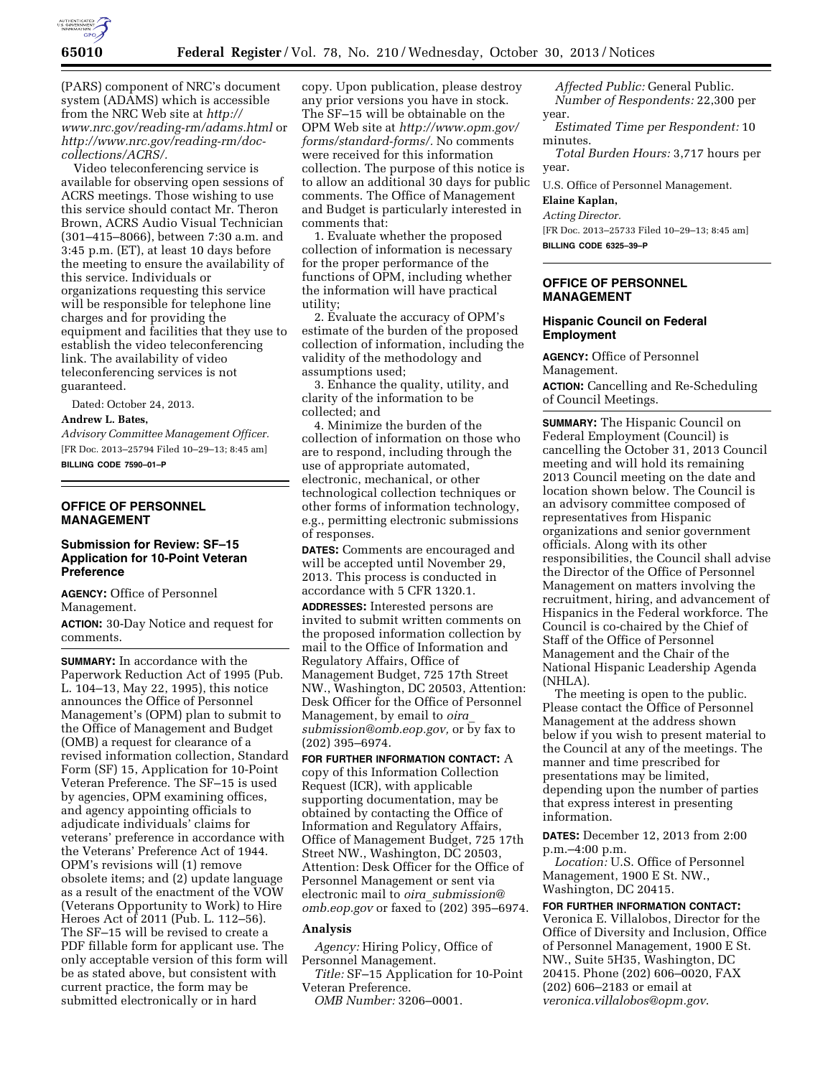

(PARS) component of NRC's document system (ADAMS) which is accessible from the NRC Web site at *[http://](http://www.nrc.gov/reading-rm/adams.html) [www.nrc.gov/reading-rm/adams.html](http://www.nrc.gov/reading-rm/adams.html)* or *[http://www.nrc.gov/reading-rm/doc](http://www.nrc.gov/reading-rm/doc-collections/ACRS/)[collections/ACRS/.](http://www.nrc.gov/reading-rm/doc-collections/ACRS/)* 

Video teleconferencing service is available for observing open sessions of ACRS meetings. Those wishing to use this service should contact Mr. Theron Brown, ACRS Audio Visual Technician (301–415–8066), between 7:30 a.m. and 3:45 p.m. (ET), at least 10 days before the meeting to ensure the availability of this service. Individuals or organizations requesting this service will be responsible for telephone line charges and for providing the equipment and facilities that they use to establish the video teleconferencing link. The availability of video teleconferencing services is not guaranteed.

Dated: October 24, 2013.

#### **Andrew L. Bates,**

*Advisory Committee Management Officer.*  [FR Doc. 2013–25794 Filed 10–29–13; 8:45 am] **BILLING CODE 7590–01–P** 

## **OFFICE OF PERSONNEL MANAGEMENT**

# **Submission for Review: SF–15 Application for 10-Point Veteran Preference**

**AGENCY:** Office of Personnel Management.

**ACTION:** 30-Day Notice and request for comments.

**SUMMARY:** In accordance with the Paperwork Reduction Act of 1995 (Pub. L. 104–13, May 22, 1995), this notice announces the Office of Personnel Management's (OPM) plan to submit to the Office of Management and Budget (OMB) a request for clearance of a revised information collection, Standard Form (SF) 15, Application for 10-Point Veteran Preference. The SF–15 is used by agencies, OPM examining offices, and agency appointing officials to adjudicate individuals' claims for veterans' preference in accordance with the Veterans' Preference Act of 1944. OPM's revisions will (1) remove obsolete items; and (2) update language as a result of the enactment of the VOW (Veterans Opportunity to Work) to Hire Heroes Act of 2011 (Pub. L. 112–56). The SF–15 will be revised to create a PDF fillable form for applicant use. The only acceptable version of this form will be as stated above, but consistent with current practice, the form may be submitted electronically or in hard

copy. Upon publication, please destroy any prior versions you have in stock. The SF–15 will be obtainable on the OPM Web site at *[http://www.opm.gov/](http://www.opm.gov/forms/standard-forms/) [forms/standard-forms/.](http://www.opm.gov/forms/standard-forms/)* No comments were received for this information collection. The purpose of this notice is to allow an additional 30 days for public comments. The Office of Management and Budget is particularly interested in comments that:

1. Evaluate whether the proposed collection of information is necessary for the proper performance of the functions of OPM, including whether the information will have practical utility;

2. Evaluate the accuracy of OPM's estimate of the burden of the proposed collection of information, including the validity of the methodology and assumptions used;

3. Enhance the quality, utility, and clarity of the information to be collected; and

4. Minimize the burden of the collection of information on those who are to respond, including through the use of appropriate automated, electronic, mechanical, or other technological collection techniques or other forms of information technology, e.g., permitting electronic submissions of responses.

**DATES:** Comments are encouraged and will be accepted until November 29, 2013. This process is conducted in accordance with 5 CFR 1320.1.

**ADDRESSES:** Interested persons are invited to submit written comments on the proposed information collection by mail to the Office of Information and Regulatory Affairs, Office of Management Budget, 725 17th Street NW., Washington, DC 20503, Attention: Desk Officer for the Office of Personnel Management, by email to *[oira](mailto:oira_submission@omb.eop.gov)*\_ *[submission@omb.eop.gov,](mailto:oira_submission@omb.eop.gov)* or by fax to (202) 395–6974.

**FOR FURTHER INFORMATION CONTACT:** A copy of this Information Collection Request (ICR), with applicable supporting documentation, may be obtained by contacting the Office of Information and Regulatory Affairs, Office of Management Budget, 725 17th Street NW., Washington, DC 20503, Attention: Desk Officer for the Office of Personnel Management or sent via electronic mail to *oira*\_*[submission@](mailto:oira_submission@omb.eop.gov) [omb.eop.gov](mailto:oira_submission@omb.eop.gov)* or faxed to (202) 395–6974.

# **Analysis**

*Agency:* Hiring Policy, Office of Personnel Management.

*Title:* SF–15 Application for 10-Point Veteran Preference.

*OMB Number:* 3206–0001.

*Affected Public:* General Public. *Number of Respondents:* 22,300 per year.

*Estimated Time per Respondent:* 10 minutes.

*Total Burden Hours:* 3,717 hours per year.

U.S. Office of Personnel Management.

# **Elaine Kaplan,**

*Acting Director.* 

[FR Doc. 2013–25733 Filed 10–29–13; 8:45 am] **BILLING CODE 6325–39–P** 

### **OFFICE OF PERSONNEL MANAGEMENT**

#### **Hispanic Council on Federal Employment**

**AGENCY:** Office of Personnel Management. **ACTION:** Cancelling and Re-Scheduling of Council Meetings.

**SUMMARY:** The Hispanic Council on Federal Employment (Council) is cancelling the October 31, 2013 Council meeting and will hold its remaining 2013 Council meeting on the date and location shown below. The Council is an advisory committee composed of representatives from Hispanic organizations and senior government officials. Along with its other responsibilities, the Council shall advise the Director of the Office of Personnel Management on matters involving the recruitment, hiring, and advancement of Hispanics in the Federal workforce. The Council is co-chaired by the Chief of Staff of the Office of Personnel Management and the Chair of the National Hispanic Leadership Agenda (NHLA).

The meeting is open to the public. Please contact the Office of Personnel Management at the address shown below if you wish to present material to the Council at any of the meetings. The manner and time prescribed for presentations may be limited, depending upon the number of parties that express interest in presenting information.

**DATES:** December 12, 2013 from 2:00 p.m.–4:00 p.m.

*Location:* U.S. Office of Personnel Management, 1900 E St. NW., Washington, DC 20415.

**FOR FURTHER INFORMATION CONTACT:**  Veronica E. Villalobos, Director for the Office of Diversity and Inclusion, Office of Personnel Management, 1900 E St. NW., Suite 5H35, Washington, DC 20415. Phone (202) 606–0020, FAX (202) 606–2183 or email at *[veronica.villalobos@opm.gov](mailto:veronica.villalobos@opm.gov)*.